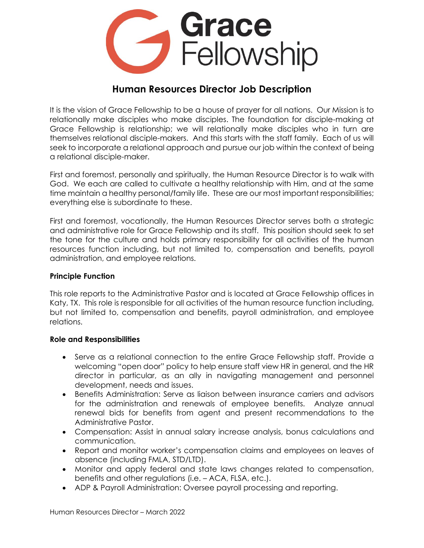

# **Human Resources Director Job Description**

It is the vision of Grace Fellowship to be a house of prayer for all nations. Our Mission is to relationally make disciples who make disciples. The foundation for disciple-making at Grace Fellowship is relationship; we will relationally make disciples who in turn are themselves relational disciple-makers. And this starts with the staff family. Each of us will seek to incorporate a relational approach and pursue our job within the context of being a relational disciple-maker.

First and foremost, personally and spiritually, the Human Resource Director is to walk with God. We each are called to cultivate a healthy relationship with Him, and at the same time maintain a healthy personal/family life. These are our most important responsibilities; everything else is subordinate to these.

First and foremost, vocationally, the Human Resources Director serves both a strategic and administrative role for Grace Fellowship and its staff. This position should seek to set the tone for the culture and holds primary responsibility for all activities of the human resources function including, but not limited to, compensation and benefits, payroll administration, and employee relations.

### **Principle Function**

This role reports to the Administrative Pastor and is located at Grace Fellowship offices in Katy, TX. This role is responsible for all activities of the human resource function including, but not limited to, compensation and benefits, payroll administration, and employee relations.

#### **Role and Responsibilities**

- Serve as a relational connection to the entire Grace Fellowship staff. Provide a welcoming "open door" policy to help ensure staff view HR in general, and the HR director in particular, as an ally in navigating management and personnel development, needs and issues.
- Benefits Administration: Serve as liaison between insurance carriers and advisors for the administration and renewals of employee benefits. Analyze annual renewal bids for benefits from agent and present recommendations to the Administrative Pastor.
- Compensation: Assist in annual salary increase analysis, bonus calculations and communication.
- Report and monitor worker's compensation claims and employees on leaves of absence (including FMLA, STD/LTD).
- Monitor and apply federal and state laws changes related to compensation, benefits and other regulations (i.e. – ACA, FLSA, etc.).
- ADP & Payroll Administration: Oversee payroll processing and reporting.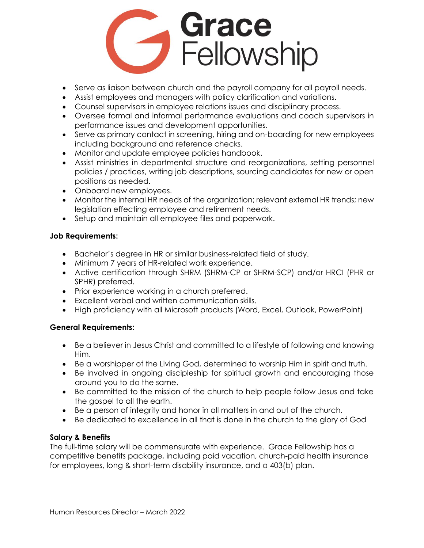

- Serve as liaison between church and the payroll company for all payroll needs.
- Assist employees and managers with policy clarification and variations.
- Counsel supervisors in employee relations issues and disciplinary process.
- Oversee formal and informal performance evaluations and coach supervisors in performance issues and development opportunities.
- Serve as primary contact in screening, hiring and on-boarding for new employees including background and reference checks.
- Monitor and update employee policies handbook.
- Assist ministries in departmental structure and reorganizations, setting personnel policies / practices, writing job descriptions, sourcing candidates for new or open positions as needed.
- Onboard new employees.
- Monitor the internal HR needs of the organization; relevant external HR trends; new legislation effecting employee and retirement needs.
- Setup and maintain all employee files and paperwork.

## **Job Requirements:**

- Bachelor's degree in HR or similar business-related field of study.
- Minimum 7 years of HR-related work experience.
- Active certification through SHRM (SHRM-CP or SHRM-SCP) and/or HRCI (PHR or SPHR) preferred.
- Prior experience working in a church preferred.
- Excellent verbal and written communication skills.
- High proficiency with all Microsoft products (Word, Excel, Outlook, PowerPoint)

## **General Requirements:**

- Be a believer in Jesus Christ and committed to a lifestyle of following and knowing Him.
- Be a worshipper of the Living God, determined to worship Him in spirit and truth.
- Be involved in ongoing discipleship for spiritual growth and encouraging those around you to do the same.
- Be committed to the mission of the church to help people follow Jesus and take the gospel to all the earth.
- Be a person of integrity and honor in all matters in and out of the church.
- Be dedicated to excellence in all that is done in the church to the glory of God

## **Salary & Benefits**

The full-time salary will be commensurate with experience. Grace Fellowship has a competitive benefits package, including paid vacation, church-paid health insurance for employees, long & short-term disability insurance, and a 403(b) plan.